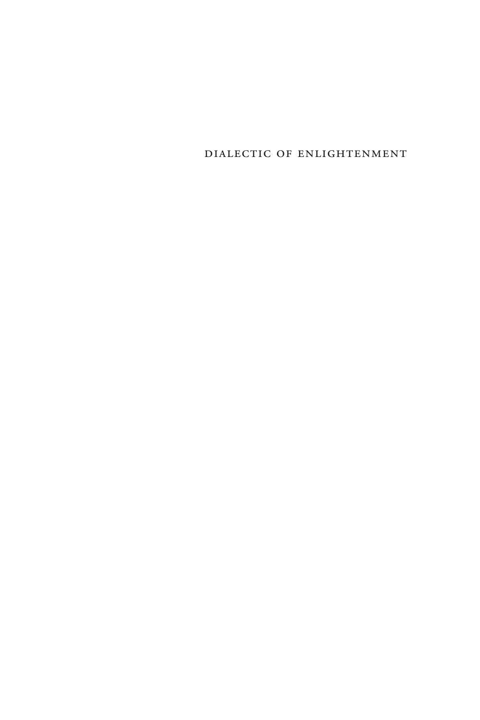#### DIALECTIC OF ENLIGHTENMENT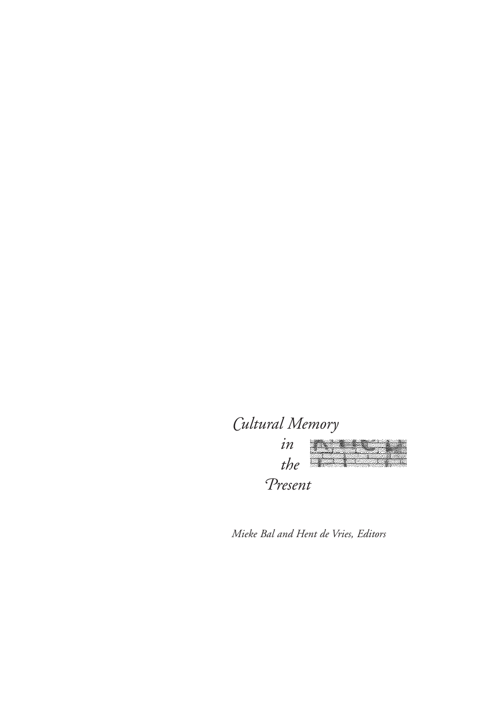# Cultural Memory

 $\frac{in}{the}$ 

Present

Mieke Bal and Hent de Vries, Editors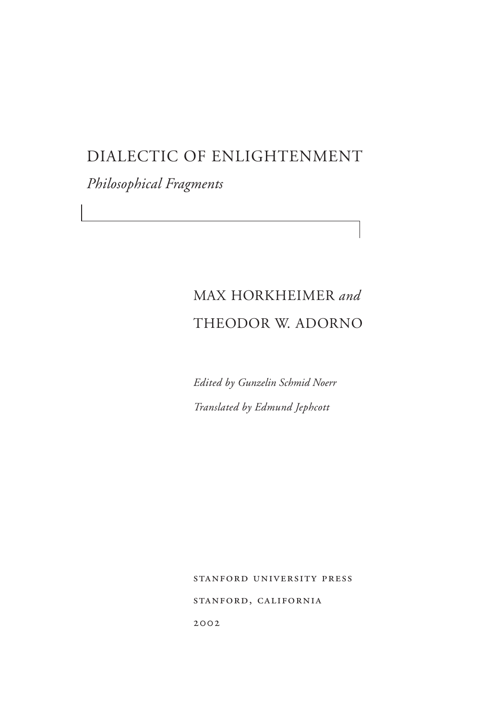## DIALECTIC OF ENLIGHTENMENT

*Philosophical Fragments*

## MAX HORKHEIMER *and* THEODOR W. ADORNO

*Edited by Gunzelin Schmid Noerr Translated by Edmund Jephcott*

STANFORD UNIVERSITY PRESS STANFORD, CALIFORNIA 2002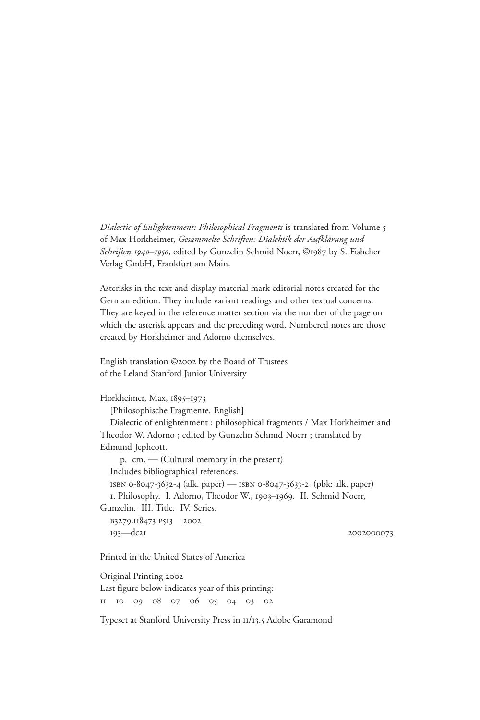*Dialectic of Enlightenment: Philosophical Fragments* is translated from Volume 5 of Max Horkheimer, *Gesammelte Schriften: Dialektik der Aufklärung und Schriften 1940–1950*, edited by Gunzelin Schmid Noerr, ©1987 by S. Fishcher Verlag GmbH, Frankfurt am Main.

Asterisks in the text and display material mark editorial notes created for the German edition. They include variant readings and other textual concerns. They are keyed in the reference matter section via the number of the page on which the asterisk appears and the preceding word. Numbered notes are those created by Horkheimer and Adorno themselves.

English translation ©2002 by the Board of Trustees of the Leland Stanford Junior University

Horkheimer, Max, 1895-1973

[Philosophische Fragmente. English]

Dialectic of enlightenment : philosophical fragments / Max Horkheimer and Theodor W. Adorno ; edited by Gunzelin Schmid Noerr ; translated by Edmund Jephcott.

p. cm. — (Cultural memory in the present) Includes bibliographical references. isbn 0-8047-3632-4 (alk. paper) — isbn 0-8047-3633-2 (pbk: alk. paper) 1. Philosophy. I. Adorno, Theodor W., 1903–1969. II. Schmid Noerr, Gunzelin. III. Title. IV. Series.

b3279.h8473 p513 2002 193—dc21 2002000073

Printed in the United States of America

Original Printing 2002 Last figure below indicates year of this printing: 11 10 09 08 07 06 05 04 03 02

Typeset at Stanford University Press in 11/13.5 Adobe Garamond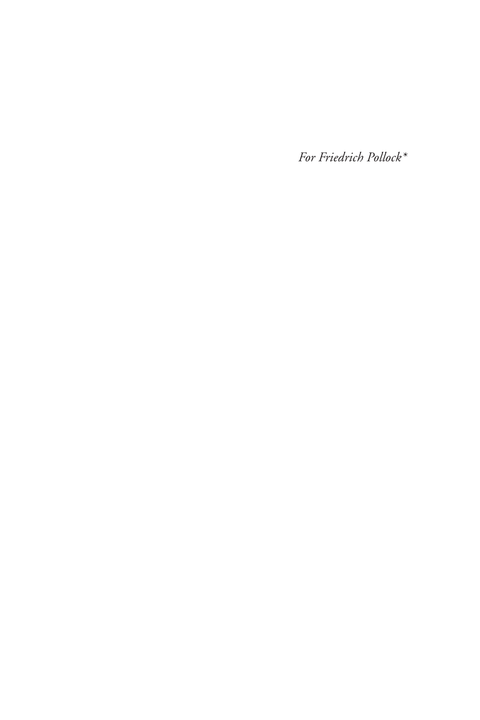*For Friedrich Pollock\**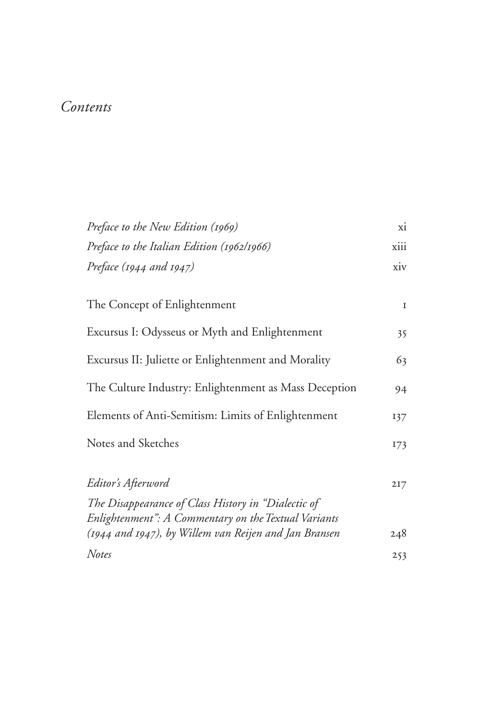## *Contents*

| Preface to the New Edition (1969)                                                                             | xi          |
|---------------------------------------------------------------------------------------------------------------|-------------|
| Preface to the Italian Edition (1962/1966)                                                                    | xiii        |
| Preface (1944 and 1947)                                                                                       | xiv         |
|                                                                                                               |             |
| The Concept of Enlightenment                                                                                  | $\mathbf I$ |
| Excursus I: Odysseus or Myth and Enlightenment                                                                | 35          |
| Excursus II: Juliette or Enlightenment and Morality                                                           | 63          |
| The Culture Industry: Enlightenment as Mass Deception                                                         | 94          |
| Elements of Anti-Semitism: Limits of Enlightenment                                                            | 137         |
| Notes and Sketches                                                                                            | 173         |
| Editor's Afterword                                                                                            | 217         |
| The Disappearance of Class History in "Dialectic of                                                           |             |
| Enlightenment": A Commentary on the Textual Variants<br>(1944 and 1947), by Willem van Reijen and Jan Bransen | 248         |
| <b>Notes</b>                                                                                                  |             |
|                                                                                                               | 253         |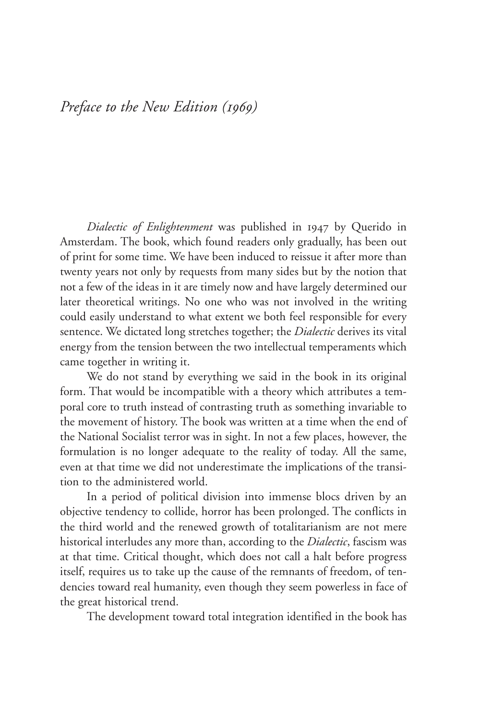#### *Preface to the New Edition (1969)*

*Dialectic of Enlightenment* was published in 1947 by Querido in Amsterdam. The book, which found readers only gradually, has been out of print for some time. We have been induced to reissue it after more than twenty years not only by requests from many sides but by the notion that not a few of the ideas in it are timely now and have largely determined our later theoretical writings. No one who was not involved in the writing could easily understand to what extent we both feel responsible for every sentence. We dictated long stretches together; the *Dialectic* derives its vital energy from the tension between the two intellectual temperaments which came together in writing it.

We do not stand by everything we said in the book in its original form. That would be incompatible with a theory which attributes a temporal core to truth instead of contrasting truth as something invariable to the movement of history. The book was written at a time when the end of the National Socialist terror was in sight. In not a few places, however, the formulation is no longer adequate to the reality of today. All the same, even at that time we did not underestimate the implications of the transition to the administered world.

In a period of political division into immense blocs driven by an objective tendency to collide, horror has been prolonged. The conflicts in the third world and the renewed growth of totalitarianism are not mere historical interludes any more than, according to the *Dialectic*, fascism was at that time. Critical thought, which does not call a halt before progress itself, requires us to take up the cause of the remnants of freedom, of tendencies toward real humanity, even though they seem powerless in face of the great historical trend.

The development toward total integration identified in the book has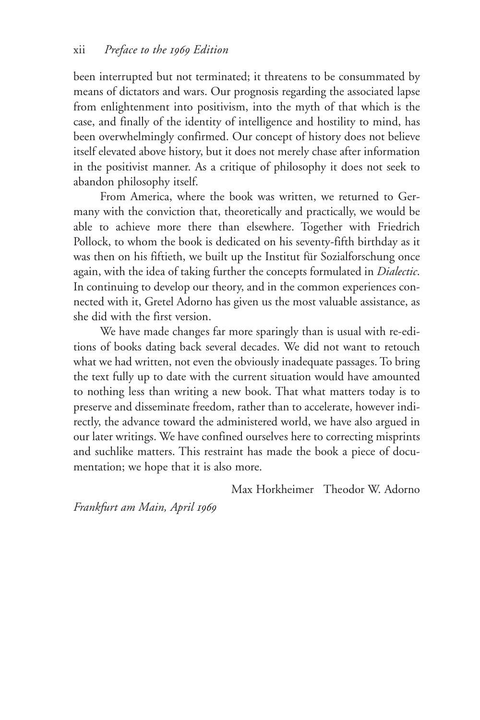been interrupted but not terminated; it threatens to be consummated by means of dictators and wars. Our prognosis regarding the associated lapse from enlightenment into positivism, into the myth of that which is the case, and finally of the identity of intelligence and hostility to mind, has been overwhelmingly confirmed. Our concept of history does not believe itself elevated above history, but it does not merely chase after information in the positivist manner. As a critique of philosophy it does not seek to abandon philosophy itself.

From America, where the book was written, we returned to Germany with the conviction that, theoretically and practically, we would be able to achieve more there than elsewhere. Together with Friedrich Pollock, to whom the book is dedicated on his seventy-fifth birthday as it was then on his fiftieth, we built up the Institut für Sozialforschung once again, with the idea of taking further the concepts formulated in *Dialectic*. In continuing to develop our theory, and in the common experiences connected with it, Gretel Adorno has given us the most valuable assistance, as she did with the first version.

We have made changes far more sparingly than is usual with re-editions of books dating back several decades. We did not want to retouch what we had written, not even the obviously inadequate passages. To bring the text fully up to date with the current situation would have amounted to nothing less than writing a new book. That what matters today is to preserve and disseminate freedom, rather than to accelerate, however indirectly, the advance toward the administered world, we have also argued in our later writings. We have confined ourselves here to correcting misprints and suchlike matters. This restraint has made the book a piece of documentation; we hope that it is also more.

Max Horkheimer Theodor W. Adorno

*Frankfurt am Main, April 1969*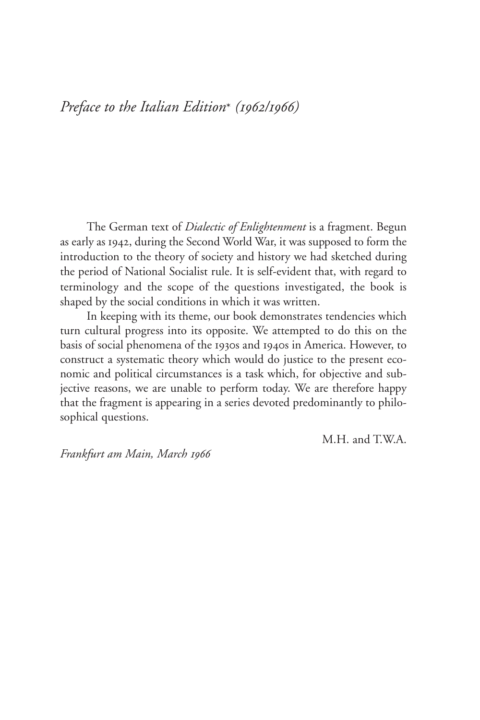#### *Preface to the Italian Edition*\* *(1962/1966)*

The German text of *Dialectic of Enlightenment* is a fragment. Begun as early as 1942, during the Second World War, it was supposed to form the introduction to the theory of society and history we had sketched during the period of National Socialist rule. It is self-evident that, with regard to terminology and the scope of the questions investigated, the book is shaped by the social conditions in which it was written.

In keeping with its theme, our book demonstrates tendencies which turn cultural progress into its opposite. We attempted to do this on the basis of social phenomena of the 1930s and 1940s in America. However, to construct a systematic theory which would do justice to the present economic and political circumstances is a task which, for objective and subjective reasons, we are unable to perform today. We are therefore happy that the fragment is appearing in a series devoted predominantly to philosophical questions.

M.H. and T.W.A.

*Frankfurt am Main, March 1966*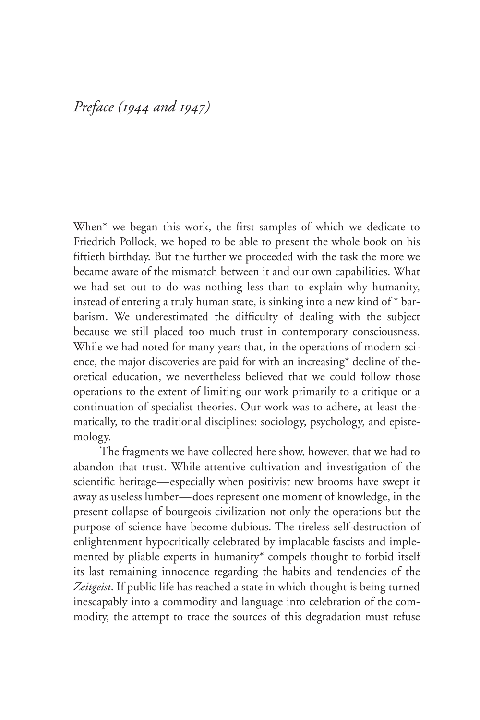### *Preface (1944 and 1947)*

When\* we began this work, the first samples of which we dedicate to Friedrich Pollock, we hoped to be able to present the whole book on his fiftieth birthday. But the further we proceeded with the task the more we became aware of the mismatch between it and our own capabilities. What we had set out to do was nothing less than to explain why humanity, instead of entering a truly human state, is sinking into a new kind of \* barbarism. We underestimated the difficulty of dealing with the subject because we still placed too much trust in contemporary consciousness. While we had noted for many years that, in the operations of modern science, the major discoveries are paid for with an increasing\* decline of theoretical education, we nevertheless believed that we could follow those operations to the extent of limiting our work primarily to a critique or a continuation of specialist theories. Our work was to adhere, at least thematically, to the traditional disciplines: sociology, psychology, and epistemology.

The fragments we have collected here show, however, that we had to abandon that trust. While attentive cultivation and investigation of the scientific heritage—especially when positivist new brooms have swept it away as useless lumber—does represent one moment of knowledge, in the present collapse of bourgeois civilization not only the operations but the purpose of science have become dubious. The tireless self-destruction of enlightenment hypocritically celebrated by implacable fascists and implemented by pliable experts in humanity\* compels thought to forbid itself its last remaining innocence regarding the habits and tendencies of the *Zeitgeist*. If public life has reached a state in which thought is being turned inescapably into a commodity and language into celebration of the commodity, the attempt to trace the sources of this degradation must refuse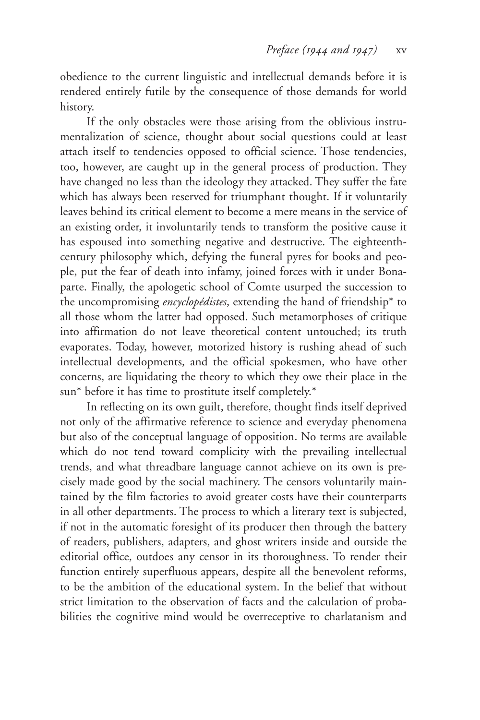obedience to the current linguistic and intellectual demands before it is rendered entirely futile by the consequence of those demands for world history.

If the only obstacles were those arising from the oblivious instrumentalization of science, thought about social questions could at least attach itself to tendencies opposed to official science. Those tendencies, too, however, are caught up in the general process of production. They have changed no less than the ideology they attacked. They suffer the fate which has always been reserved for triumphant thought. If it voluntarily leaves behind its critical element to become a mere means in the service of an existing order, it involuntarily tends to transform the positive cause it has espoused into something negative and destructive. The eighteenthcentury philosophy which, defying the funeral pyres for books and people, put the fear of death into infamy, joined forces with it under Bonaparte. Finally, the apologetic school of Comte usurped the succession to the uncompromising *encyclopédistes*, extending the hand of friendship\* to all those whom the latter had opposed. Such metamorphoses of critique into affirmation do not leave theoretical content untouched; its truth evaporates. Today, however, motorized history is rushing ahead of such intellectual developments, and the official spokesmen, who have other concerns, are liquidating the theory to which they owe their place in the sun\* before it has time to prostitute itself completely.\*

In reflecting on its own guilt, therefore, thought finds itself deprived not only of the affirmative reference to science and everyday phenomena but also of the conceptual language of opposition. No terms are available which do not tend toward complicity with the prevailing intellectual trends, and what threadbare language cannot achieve on its own is precisely made good by the social machinery. The censors voluntarily maintained by the film factories to avoid greater costs have their counterparts in all other departments. The process to which a literary text is subjected, if not in the automatic foresight of its producer then through the battery of readers, publishers, adapters, and ghost writers inside and outside the editorial office, outdoes any censor in its thoroughness. To render their function entirely superfluous appears, despite all the benevolent reforms, to be the ambition of the educational system. In the belief that without strict limitation to the observation of facts and the calculation of probabilities the cognitive mind would be overreceptive to charlatanism and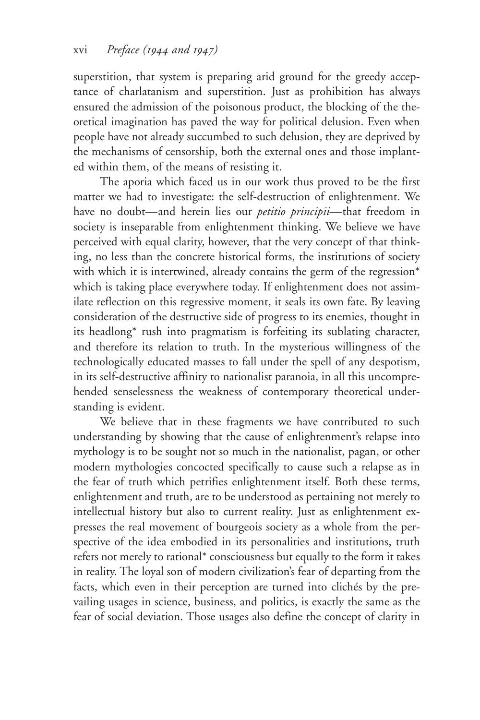superstition, that system is preparing arid ground for the greedy acceptance of charlatanism and superstition. Just as prohibition has always ensured the admission of the poisonous product, the blocking of the theoretical imagination has paved the way for political delusion. Even when people have not already succumbed to such delusion, they are deprived by the mechanisms of censorship, both the external ones and those implanted within them, of the means of resisting it.

The aporia which faced us in our work thus proved to be the first matter we had to investigate: the self-destruction of enlightenment. We have no doubt—and herein lies our *petitio principii*—that freedom in society is inseparable from enlightenment thinking. We believe we have perceived with equal clarity, however, that the very concept of that thinking, no less than the concrete historical forms, the institutions of society with which it is intertwined, already contains the germ of the regression\* which is taking place everywhere today. If enlightenment does not assimilate reflection on this regressive moment, it seals its own fate. By leaving consideration of the destructive side of progress to its enemies, thought in its headlong\* rush into pragmatism is forfeiting its sublating character, and therefore its relation to truth. In the mysterious willingness of the technologically educated masses to fall under the spell of any despotism, in its self-destructive affinity to nationalist paranoia, in all this uncomprehended senselessness the weakness of contemporary theoretical understanding is evident.

We believe that in these fragments we have contributed to such understanding by showing that the cause of enlightenment's relapse into mythology is to be sought not so much in the nationalist, pagan, or other modern mythologies concocted specifically to cause such a relapse as in the fear of truth which petrifies enlightenment itself. Both these terms, enlightenment and truth, are to be understood as pertaining not merely to intellectual history but also to current reality. Just as enlightenment expresses the real movement of bourgeois society as a whole from the perspective of the idea embodied in its personalities and institutions, truth refers not merely to rational\* consciousness but equally to the form it takes in reality. The loyal son of modern civilization's fear of departing from the facts, which even in their perception are turned into clichés by the prevailing usages in science, business, and politics, is exactly the same as the fear of social deviation. Those usages also define the concept of clarity in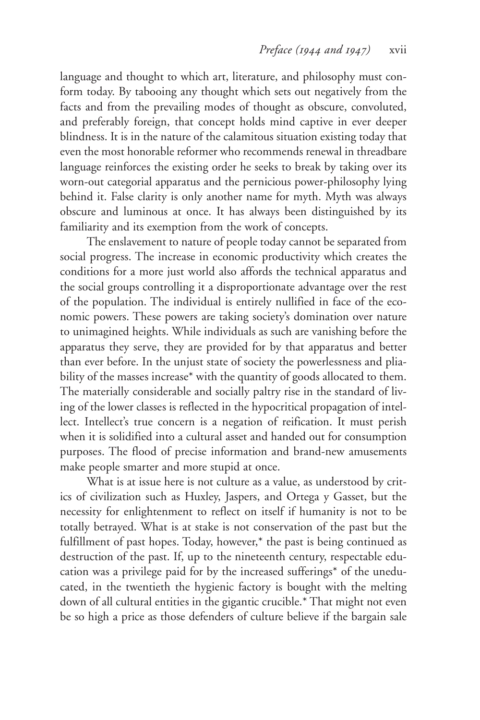language and thought to which art, literature, and philosophy must conform today. By tabooing any thought which sets out negatively from the facts and from the prevailing modes of thought as obscure, convoluted, and preferably foreign, that concept holds mind captive in ever deeper blindness. It is in the nature of the calamitous situation existing today that even the most honorable reformer who recommends renewal in threadbare language reinforces the existing order he seeks to break by taking over its worn-out categorial apparatus and the pernicious power-philosophy lying behind it. False clarity is only another name for myth. Myth was always obscure and luminous at once. It has always been distinguished by its familiarity and its exemption from the work of concepts.

The enslavement to nature of people today cannot be separated from social progress. The increase in economic productivity which creates the conditions for a more just world also affords the technical apparatus and the social groups controlling it a disproportionate advantage over the rest of the population. The individual is entirely nullified in face of the economic powers. These powers are taking society's domination over nature to unimagined heights. While individuals as such are vanishing before the apparatus they serve, they are provided for by that apparatus and better than ever before. In the unjust state of society the powerlessness and pliability of the masses increase\* with the quantity of goods allocated to them. The materially considerable and socially paltry rise in the standard of living of the lower classes is reflected in the hypocritical propagation of intellect. Intellect's true concern is a negation of reification. It must perish when it is solidified into a cultural asset and handed out for consumption purposes. The flood of precise information and brand-new amusements make people smarter and more stupid at once.

What is at issue here is not culture as a value, as understood by critics of civilization such as Huxley, Jaspers, and Ortega y Gasset, but the necessity for enlightenment to reflect on itself if humanity is not to be totally betrayed. What is at stake is not conservation of the past but the fulfillment of past hopes. Today, however,\* the past is being continued as destruction of the past. If, up to the nineteenth century, respectable education was a privilege paid for by the increased sufferings\* of the uneducated, in the twentieth the hygienic factory is bought with the melting down of all cultural entities in the gigantic crucible.\* That might not even be so high a price as those defenders of culture believe if the bargain sale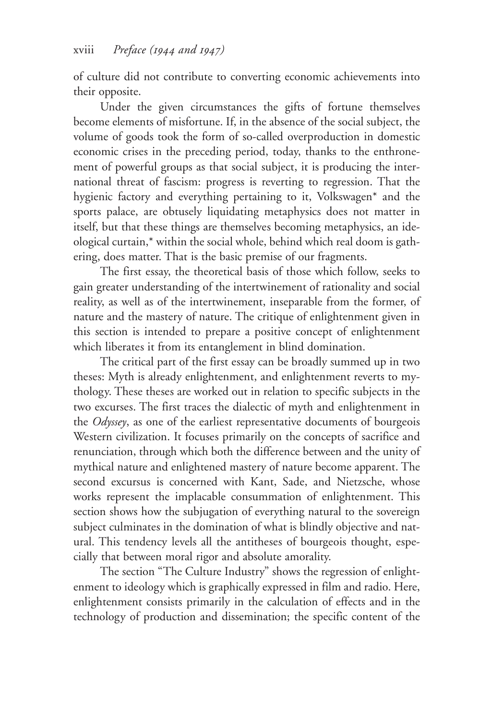of culture did not contribute to converting economic achievements into their opposite.

Under the given circumstances the gifts of fortune themselves become elements of misfortune. If, in the absence of the social subject, the volume of goods took the form of so-called overproduction in domestic economic crises in the preceding period, today, thanks to the enthronement of powerful groups as that social subject, it is producing the international threat of fascism: progress is reverting to regression. That the hygienic factory and everything pertaining to it, Volkswagen\* and the sports palace, are obtusely liquidating metaphysics does not matter in itself, but that these things are themselves becoming metaphysics, an ideological curtain,\* within the social whole, behind which real doom is gathering, does matter. That is the basic premise of our fragments.

The first essay, the theoretical basis of those which follow, seeks to gain greater understanding of the intertwinement of rationality and social reality, as well as of the intertwinement, inseparable from the former, of nature and the mastery of nature. The critique of enlightenment given in this section is intended to prepare a positive concept of enlightenment which liberates it from its entanglement in blind domination.

The critical part of the first essay can be broadly summed up in two theses: Myth is already enlightenment, and enlightenment reverts to mythology. These theses are worked out in relation to specific subjects in the two excurses. The first traces the dialectic of myth and enlightenment in the *Odyssey*, as one of the earliest representative documents of bourgeois Western civilization. It focuses primarily on the concepts of sacrifice and renunciation, through which both the difference between and the unity of mythical nature and enlightened mastery of nature become apparent. The second excursus is concerned with Kant, Sade, and Nietzsche, whose works represent the implacable consummation of enlightenment. This section shows how the subjugation of everything natural to the sovereign subject culminates in the domination of what is blindly objective and natural. This tendency levels all the antitheses of bourgeois thought, especially that between moral rigor and absolute amorality.

The section "The Culture Industry" shows the regression of enlightenment to ideology which is graphically expressed in film and radio. Here, enlightenment consists primarily in the calculation of effects and in the technology of production and dissemination; the specific content of the